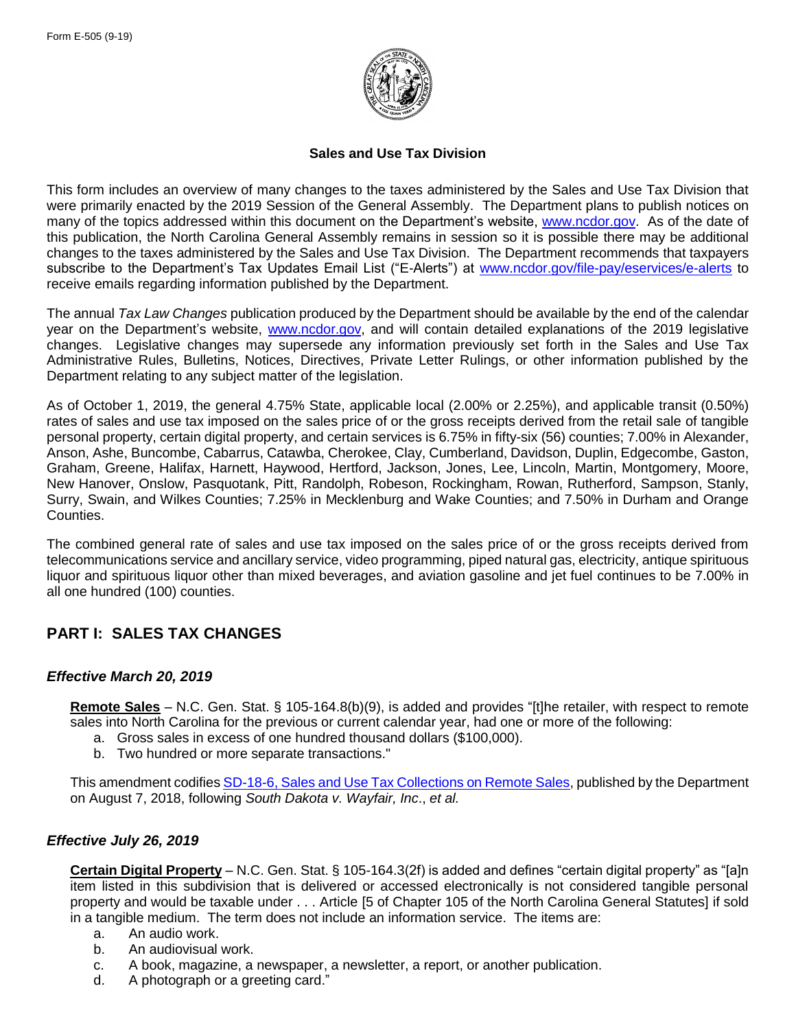

## **Sales and Use Tax Division**

This form includes an overview of many changes to the taxes administered by the Sales and Use Tax Division that were primarily enacted by the 2019 Session of the General Assembly. The Department plans to publish notices on many of the topics addressed within this document on the Department's website, [www.ncdor.gov.](https://www.ncdor.gov/) As of the date of this publication, the North Carolina General Assembly remains in session so it is possible there may be additional changes to the taxes administered by the Sales and Use Tax Division. The Department recommends that taxpayers subscribe to the Department's Tax Updates Email List ("E-Alerts") at [www.ncdor.gov/file-pay/eservices/e-alerts](http://www.ncdor.gov/file-pay/eservices/e-alerts) to receive emails regarding information published by the Department.

The annual *Tax Law Changes* publication produced by the Department should be available by the end of the calendar year on the Department's website, [www.ncdor.gov,](https://www.ncdor.gov/) and will contain detailed explanations of the 2019 legislative changes. Legislative changes may supersede any information previously set forth in the Sales and Use Tax Administrative Rules, Bulletins, Notices, Directives, Private Letter Rulings, or other information published by the Department relating to any subject matter of the legislation.

As of October 1, 2019, the general 4.75% State, applicable local (2.00% or 2.25%), and applicable transit (0.50%) rates of sales and use tax imposed on the sales price of or the gross receipts derived from the retail sale of tangible personal property, certain digital property, and certain services is 6.75% in fifty-six (56) counties; 7.00% in Alexander, Anson, Ashe, Buncombe, Cabarrus, Catawba, Cherokee, Clay, Cumberland, Davidson, Duplin, Edgecombe, Gaston, Graham, Greene, Halifax, Harnett, Haywood, Hertford, Jackson, Jones, Lee, Lincoln, Martin, Montgomery, Moore, New Hanover, Onslow, Pasquotank, Pitt, Randolph, Robeson, Rockingham, Rowan, Rutherford, Sampson, Stanly, Surry, Swain, and Wilkes Counties; 7.25% in Mecklenburg and Wake Counties; and 7.50% in Durham and Orange Counties.

The combined general rate of sales and use tax imposed on the sales price of or the gross receipts derived from telecommunications service and ancillary service, video programming, piped natural gas, electricity, antique spirituous liquor and spirituous liquor other than mixed beverages, and aviation gasoline and jet fuel continues to be 7.00% in all one hundred (100) counties.

# **PART I: SALES TAX CHANGES**

### *Effective March 20, 2019*

**Remote Sales** – N.C. Gen. Stat. § 105-164.8(b)(9), is added and provides "[t]he retailer, with respect to remote sales into North Carolina for the previous or current calendar year, had one or more of the following:

- a. Gross sales in excess of one hundred thousand dollars (\$100,000).
- b. Two hundred or more separate transactions."

This amendment codifies [SD-18-6, Sales and Use Tax Collections on Remote Sales,](https://www.ncdor.gov/documents/sales-and-use-tax-directive-18-6) published by the Department on August 7, 2018, following *South Dakota v. Wayfair, Inc*., *et al.*

## *Effective July 26, 2019*

**Certain Digital Property** – N.C. Gen. Stat. § 105-164.3(2f) is added and defines "certain digital property" as "[a]n item listed in this subdivision that is delivered or accessed electronically is not considered tangible personal property and would be taxable under . . . Article [5 of Chapter 105 of the North Carolina General Statutes] if sold in a tangible medium. The term does not include an information service. The items are:

- a. An audio work.
- b. An audiovisual work.
- c. A book, magazine, a newspaper, a newsletter, a report, or another publication.
- d. A photograph or a greeting card."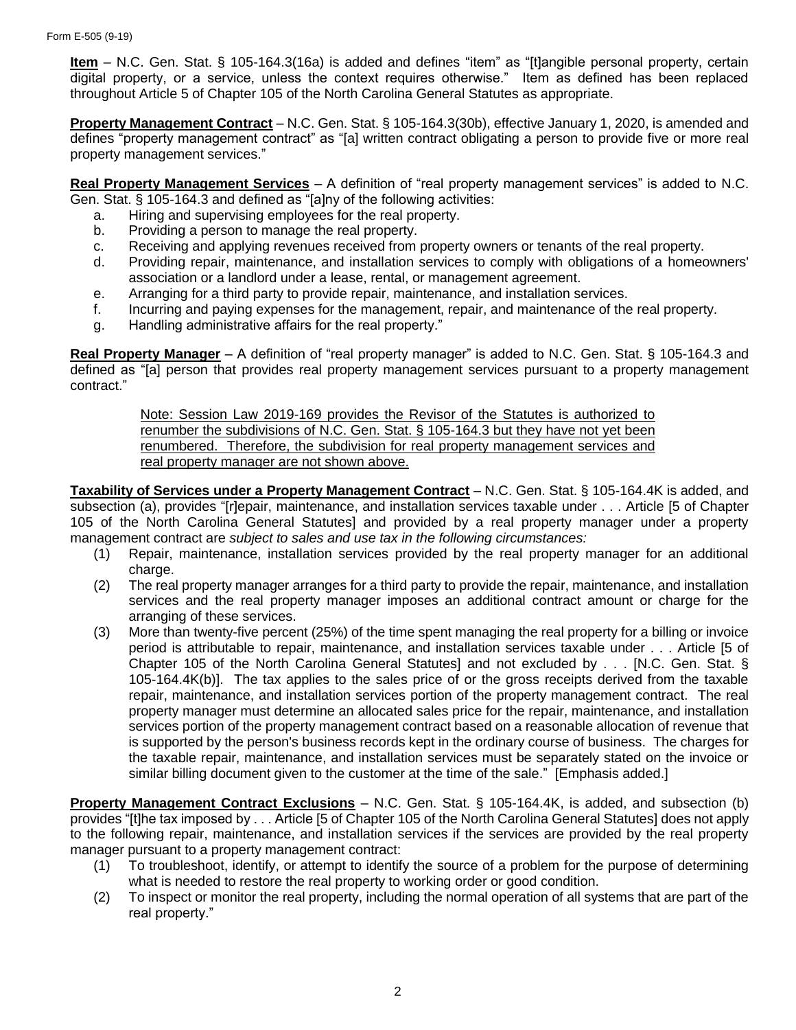**Item** – N.C. Gen. Stat. § 105-164.3(16a) is added and defines "item" as "[t]angible personal property, certain digital property, or a service, unless the context requires otherwise." Item as defined has been replaced throughout Article 5 of Chapter 105 of the North Carolina General Statutes as appropriate.

**Property Management Contract** – N.C. Gen. Stat. § 105-164.3(30b), effective January 1, 2020, is amended and defines "property management contract" as "[a] written contract obligating a person to provide five or more real property management services."

**Real Property Management Services** – A definition of "real property management services" is added to N.C. Gen. Stat. § 105-164.3 and defined as "[a]ny of the following activities:

- a. Hiring and supervising employees for the real property.
- b. Providing a person to manage the real property.
- c. Receiving and applying revenues received from property owners or tenants of the real property.
- d. Providing repair, maintenance, and installation services to comply with obligations of a homeowners' association or a landlord under a lease, rental, or management agreement.
- e. Arranging for a third party to provide repair, maintenance, and installation services.
- f. Incurring and paying expenses for the management, repair, and maintenance of the real property.
- g. Handling administrative affairs for the real property."

**Real Property Manager** – A definition of "real property manager" is added to N.C. Gen. Stat. § 105-164.3 and defined as "[a] person that provides real property management services pursuant to a property management contract."

Note: Session Law 2019-169 provides the Revisor of the Statutes is authorized to renumber the subdivisions of N.C. Gen. Stat. § 105-164.3 but they have not yet been renumbered. Therefore, the subdivision for real property management services and real property manager are not shown above.

**Taxability of Services under a Property Management Contract** – N.C. Gen. Stat. § 105-164.4K is added, and subsection (a), provides "[r]epair, maintenance, and installation services taxable under . . . Article [5 of Chapter 105 of the North Carolina General Statutes] and provided by a real property manager under a property management contract are *subject to sales and use tax in the following circumstances:*

- (1) Repair, maintenance, installation services provided by the real property manager for an additional charge.
- (2) The real property manager arranges for a third party to provide the repair, maintenance, and installation services and the real property manager imposes an additional contract amount or charge for the arranging of these services.
- (3) More than twenty-five percent (25%) of the time spent managing the real property for a billing or invoice period is attributable to repair, maintenance, and installation services taxable under . . . Article [5 of Chapter 105 of the North Carolina General Statutes] and not excluded by . . . [N.C. Gen. Stat. § 105-164.4K(b)]. The tax applies to the sales price of or the gross receipts derived from the taxable repair, maintenance, and installation services portion of the property management contract. The real property manager must determine an allocated sales price for the repair, maintenance, and installation services portion of the property management contract based on a reasonable allocation of revenue that is supported by the person's business records kept in the ordinary course of business. The charges for the taxable repair, maintenance, and installation services must be separately stated on the invoice or similar billing document given to the customer at the time of the sale." [Emphasis added.]

**Property Management Contract Exclusions** – N.C. Gen. Stat. § 105-164.4K, is added, and subsection (b) provides "[t]he tax imposed by . . . Article [5 of Chapter 105 of the North Carolina General Statutes] does not apply to the following repair, maintenance, and installation services if the services are provided by the real property manager pursuant to a property management contract:

- (1) To troubleshoot, identify, or attempt to identify the source of a problem for the purpose of determining what is needed to restore the real property to working order or good condition.
- (2) To inspect or monitor the real property, including the normal operation of all systems that are part of the real property."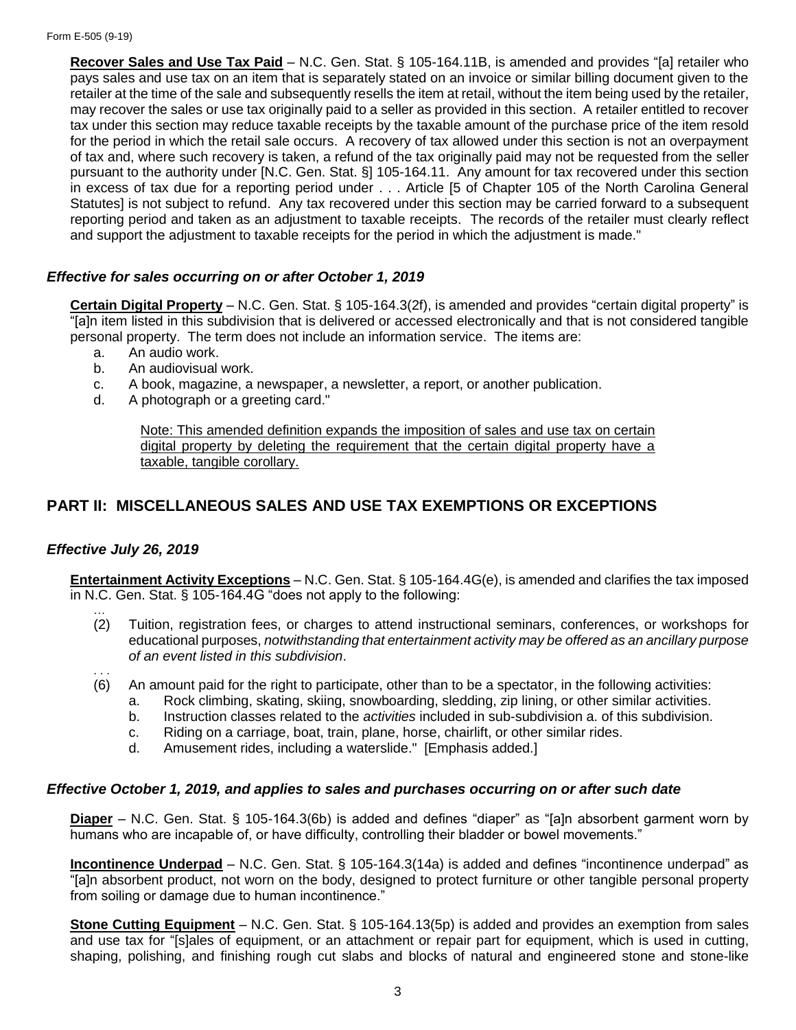**Recover Sales and Use Tax Paid** – N.C. Gen. Stat. § 105-164.11B, is amended and provides "[a] retailer who pays sales and use tax on an item that is separately stated on an invoice or similar billing document given to the retailer at the time of the sale and subsequently resells the item at retail, without the item being used by the retailer, may recover the sales or use tax originally paid to a seller as provided in this section. A retailer entitled to recover tax under this section may reduce taxable receipts by the taxable amount of the purchase price of the item resold for the period in which the retail sale occurs. A recovery of tax allowed under this section is not an overpayment of tax and, where such recovery is taken, a refund of the tax originally paid may not be requested from the seller pursuant to the authority under [N.C. Gen. Stat. §] 105-164.11. Any amount for tax recovered under this section in excess of tax due for a reporting period under . . . Article [5 of Chapter 105 of the North Carolina General Statutes] is not subject to refund. Any tax recovered under this section may be carried forward to a subsequent reporting period and taken as an adjustment to taxable receipts. The records of the retailer must clearly reflect and support the adjustment to taxable receipts for the period in which the adjustment is made."

## *Effective for sales occurring on or after October 1, 2019*

**Certain Digital Property** – N.C. Gen. Stat. § 105-164.3(2f), is amended and provides "certain digital property" is "[a]n item listed in this subdivision that is delivered or accessed electronically and that is not considered tangible personal property. The term does not include an information service. The items are:

- a. An audio work.
- b. An audiovisual work.
- c. A book, magazine, a newspaper, a newsletter, a report, or another publication.
- d. A photograph or a greeting card."

Note: This amended definition expands the imposition of sales and use tax on certain digital property by deleting the requirement that the certain digital property have a taxable, tangible corollary.

## **PART II: MISCELLANEOUS SALES AND USE TAX EXEMPTIONS OR EXCEPTIONS**

### *Effective July 26, 2019*

**Entertainment Activity Exceptions** – N.C. Gen. Stat. § 105-164.4G(e), is amended and clarifies the tax imposed in N.C. Gen. Stat. § 105-164.4G "does not apply to the following:

- … (2) Tuition, registration fees, or charges to attend instructional seminars, conferences, or workshops for educational purposes, *notwithstanding that entertainment activity may be offered as an ancillary purpose of an event listed in this subdivision*.
- . . . (6) An amount paid for the right to participate, other than to be a spectator, in the following activities:
	- a. Rock climbing, skating, skiing, snowboarding, sledding, zip lining, or other similar activities.
	- b. Instruction classes related to the *activities* included in sub-subdivision a. of this subdivision.
	- c. Riding on a carriage, boat, train, plane, horse, chairlift, or other similar rides.
	- d. Amusement rides, including a waterslide." [Emphasis added.]

#### *Effective October 1, 2019, and applies to sales and purchases occurring on or after such date*

**Diaper** – N.C. Gen. Stat. § 105-164.3(6b) is added and defines "diaper" as "[a]n absorbent garment worn by humans who are incapable of, or have difficulty, controlling their bladder or bowel movements."

**Incontinence Underpad** – N.C. Gen. Stat. § 105-164.3(14a) is added and defines "incontinence underpad" as "[a]n absorbent product, not worn on the body, designed to protect furniture or other tangible personal property from soiling or damage due to human incontinence."

**Stone Cutting Equipment** – N.C. Gen. Stat. § 105-164.13(5p) is added and provides an exemption from sales and use tax for "[s]ales of equipment, or an attachment or repair part for equipment, which is used in cutting, shaping, polishing, and finishing rough cut slabs and blocks of natural and engineered stone and stone-like